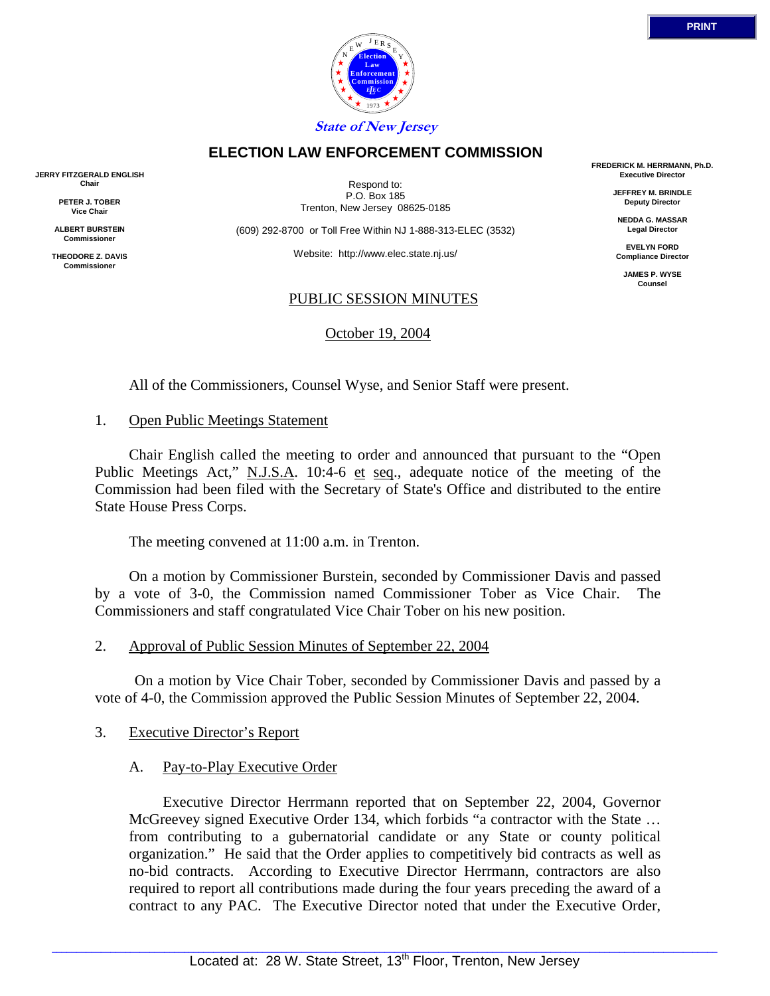



Respond to: P.O. Box 185 Trenton, New Jersey 08625-0185

**ELECTION LAW ENFORCEMENT COMMISSION**

(609) 292-8700 or Toll Free Within NJ 1-888-313-ELEC (3532)

Website: http://www.elec.state.nj.us/

#### PUBLIC SESSION MINUTES

October 19, 2004

All of the Commissioners, Counsel Wyse, and Senior Staff were present.

### 1. Open Public Meetings Statement

 Chair English called the meeting to order and announced that pursuant to the "Open Public Meetings Act," N.J.S.A. 10:4-6 et seq., adequate notice of the meeting of the Commission had been filed with the Secretary of State's Office and distributed to the entire State House Press Corps.

The meeting convened at 11:00 a.m. in Trenton.

 On a motion by Commissioner Burstein, seconded by Commissioner Davis and passed by a vote of 3-0, the Commission named Commissioner Tober as Vice Chair. The Commissioners and staff congratulated Vice Chair Tober on his new position.

### 2. Approval of Public Session Minutes of September 22, 2004

 On a motion by Vice Chair Tober, seconded by Commissioner Davis and passed by a vote of 4-0, the Commission approved the Public Session Minutes of September 22, 2004.

### 3. Executive Director's Report

### A. Pay-to-Play Executive Order

 Executive Director Herrmann reported that on September 22, 2004, Governor McGreevey signed Executive Order 134, which forbids "a contractor with the State … from contributing to a gubernatorial candidate or any State or county political organization." He said that the Order applies to competitively bid contracts as well as no-bid contracts. According to Executive Director Herrmann, contractors are also required to report all contributions made during the four years preceding the award of a contract to any PAC. The Executive Director noted that under the Executive Order,

**FREDERICK M. HERRMANN, Ph.D. Executive Director**

> **JEFFREY M. BRINDLE Deputy Director**

**NEDDA G. MASSAR Legal Director**

**EVELYN FORD Compliance Director**

> **JAMES P. WYSE Counsel**



**JERRY FITZGERALD ENGLISH Chair**

> **PETER J. TOBER Vice Chair**

**ALBERT BURSTEIN Commissioner** 

**THEODORE Z. DAVIS Commissione**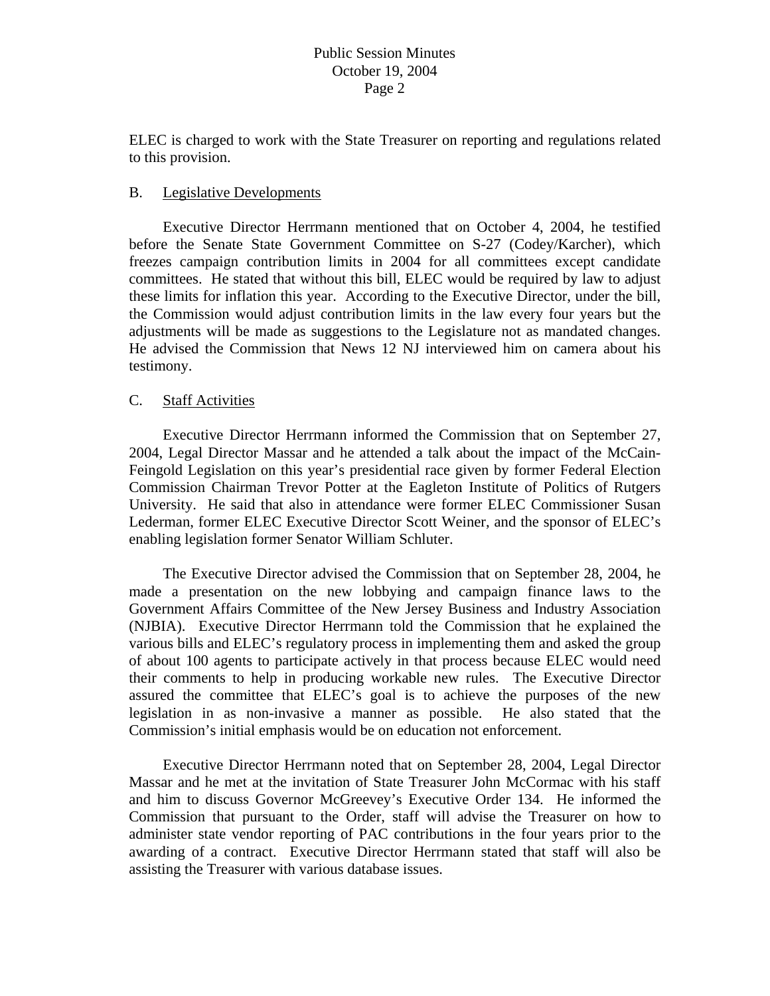ELEC is charged to work with the State Treasurer on reporting and regulations related to this provision.

## B. Legislative Developments

 Executive Director Herrmann mentioned that on October 4, 2004, he testified before the Senate State Government Committee on S-27 (Codey/Karcher), which freezes campaign contribution limits in 2004 for all committees except candidate committees. He stated that without this bill, ELEC would be required by law to adjust these limits for inflation this year. According to the Executive Director, under the bill, the Commission would adjust contribution limits in the law every four years but the adjustments will be made as suggestions to the Legislature not as mandated changes. He advised the Commission that News 12 NJ interviewed him on camera about his testimony.

## C. Staff Activities

 Executive Director Herrmann informed the Commission that on September 27, 2004, Legal Director Massar and he attended a talk about the impact of the McCain-Feingold Legislation on this year's presidential race given by former Federal Election Commission Chairman Trevor Potter at the Eagleton Institute of Politics of Rutgers University. He said that also in attendance were former ELEC Commissioner Susan Lederman, former ELEC Executive Director Scott Weiner, and the sponsor of ELEC's enabling legislation former Senator William Schluter.

 The Executive Director advised the Commission that on September 28, 2004, he made a presentation on the new lobbying and campaign finance laws to the Government Affairs Committee of the New Jersey Business and Industry Association (NJBIA). Executive Director Herrmann told the Commission that he explained the various bills and ELEC's regulatory process in implementing them and asked the group of about 100 agents to participate actively in that process because ELEC would need their comments to help in producing workable new rules. The Executive Director assured the committee that ELEC's goal is to achieve the purposes of the new legislation in as non-invasive a manner as possible. He also stated that the Commission's initial emphasis would be on education not enforcement.

 Executive Director Herrmann noted that on September 28, 2004, Legal Director Massar and he met at the invitation of State Treasurer John McCormac with his staff and him to discuss Governor McGreevey's Executive Order 134. He informed the Commission that pursuant to the Order, staff will advise the Treasurer on how to administer state vendor reporting of PAC contributions in the four years prior to the awarding of a contract. Executive Director Herrmann stated that staff will also be assisting the Treasurer with various database issues.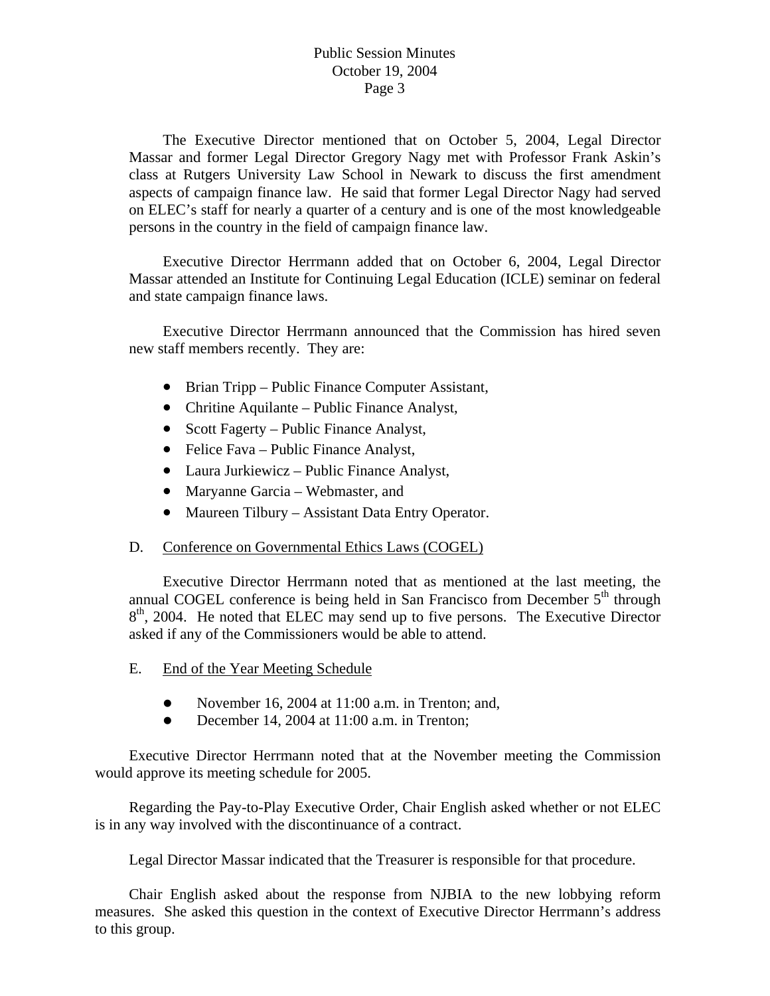The Executive Director mentioned that on October 5, 2004, Legal Director Massar and former Legal Director Gregory Nagy met with Professor Frank Askin's class at Rutgers University Law School in Newark to discuss the first amendment aspects of campaign finance law. He said that former Legal Director Nagy had served on ELEC's staff for nearly a quarter of a century and is one of the most knowledgeable persons in the country in the field of campaign finance law.

 Executive Director Herrmann added that on October 6, 2004, Legal Director Massar attended an Institute for Continuing Legal Education (ICLE) seminar on federal and state campaign finance laws.

 Executive Director Herrmann announced that the Commission has hired seven new staff members recently. They are:

- Brian Tripp Public Finance Computer Assistant,
- Chritine Aquilante Public Finance Analyst,
- Scott Fagerty Public Finance Analyst,
- Felice Fava Public Finance Analyst,
- Laura Jurkiewicz Public Finance Analyst,
- Maryanne Garcia Webmaster, and
- Maureen Tilbury Assistant Data Entry Operator.

### D. Conference on Governmental Ethics Laws (COGEL)

 Executive Director Herrmann noted that as mentioned at the last meeting, the annual COGEL conference is being held in San Francisco from December  $5<sup>th</sup>$  through  $8<sup>th</sup>$ , 2004. He noted that ELEC may send up to five persons. The Executive Director asked if any of the Commissioners would be able to attend.

- E. End of the Year Meeting Schedule
	- November 16, 2004 at  $11:00$  a.m. in Trenton; and,
	- $\bullet$  December 14, 2004 at 11:00 a.m. in Trenton;

 Executive Director Herrmann noted that at the November meeting the Commission would approve its meeting schedule for 2005.

 Regarding the Pay-to-Play Executive Order, Chair English asked whether or not ELEC is in any way involved with the discontinuance of a contract.

Legal Director Massar indicated that the Treasurer is responsible for that procedure.

 Chair English asked about the response from NJBIA to the new lobbying reform measures. She asked this question in the context of Executive Director Herrmann's address to this group.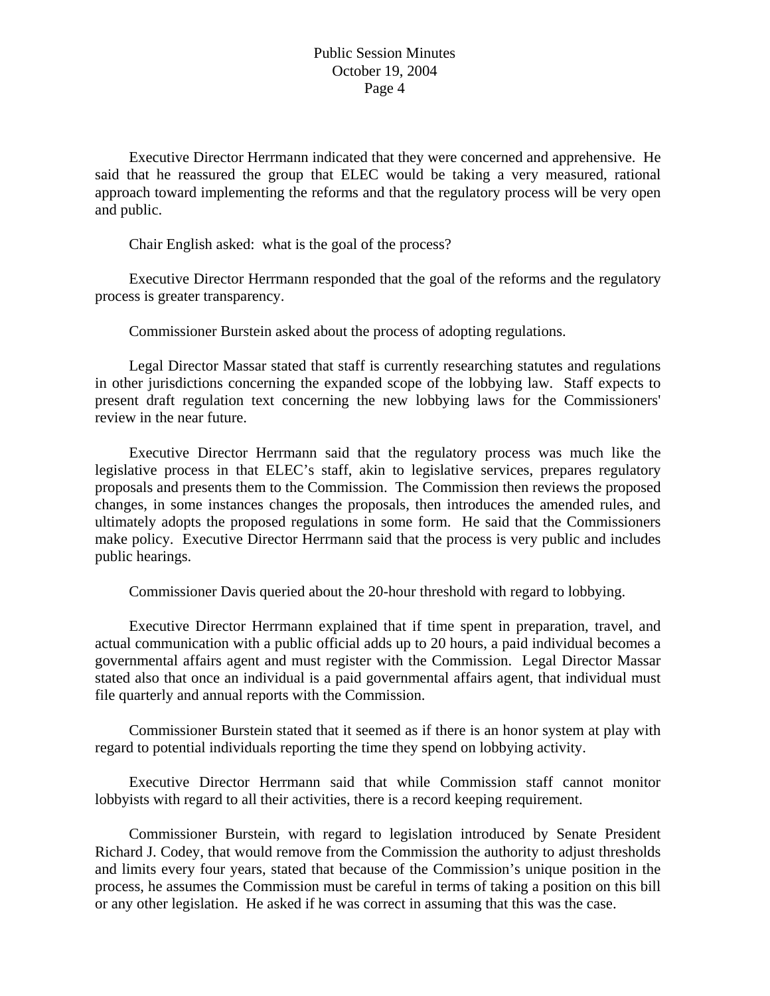Executive Director Herrmann indicated that they were concerned and apprehensive. He said that he reassured the group that ELEC would be taking a very measured, rational approach toward implementing the reforms and that the regulatory process will be very open and public.

Chair English asked: what is the goal of the process?

 Executive Director Herrmann responded that the goal of the reforms and the regulatory process is greater transparency.

Commissioner Burstein asked about the process of adopting regulations.

 Legal Director Massar stated that staff is currently researching statutes and regulations in other jurisdictions concerning the expanded scope of the lobbying law. Staff expects to present draft regulation text concerning the new lobbying laws for the Commissioners' review in the near future.

 Executive Director Herrmann said that the regulatory process was much like the legislative process in that ELEC's staff, akin to legislative services, prepares regulatory proposals and presents them to the Commission. The Commission then reviews the proposed changes, in some instances changes the proposals, then introduces the amended rules, and ultimately adopts the proposed regulations in some form. He said that the Commissioners make policy. Executive Director Herrmann said that the process is very public and includes public hearings.

Commissioner Davis queried about the 20-hour threshold with regard to lobbying.

 Executive Director Herrmann explained that if time spent in preparation, travel, and actual communication with a public official adds up to 20 hours, a paid individual becomes a governmental affairs agent and must register with the Commission. Legal Director Massar stated also that once an individual is a paid governmental affairs agent, that individual must file quarterly and annual reports with the Commission.

 Commissioner Burstein stated that it seemed as if there is an honor system at play with regard to potential individuals reporting the time they spend on lobbying activity.

 Executive Director Herrmann said that while Commission staff cannot monitor lobbyists with regard to all their activities, there is a record keeping requirement.

 Commissioner Burstein, with regard to legislation introduced by Senate President Richard J. Codey, that would remove from the Commission the authority to adjust thresholds and limits every four years, stated that because of the Commission's unique position in the process, he assumes the Commission must be careful in terms of taking a position on this bill or any other legislation. He asked if he was correct in assuming that this was the case.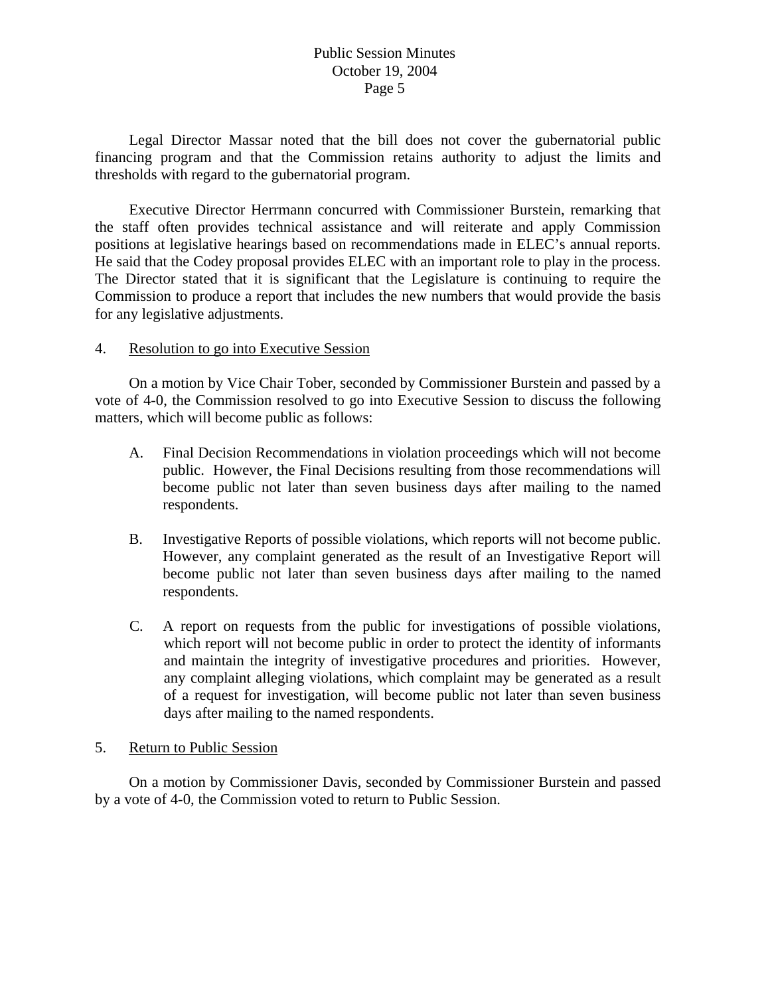Legal Director Massar noted that the bill does not cover the gubernatorial public financing program and that the Commission retains authority to adjust the limits and thresholds with regard to the gubernatorial program.

 Executive Director Herrmann concurred with Commissioner Burstein, remarking that the staff often provides technical assistance and will reiterate and apply Commission positions at legislative hearings based on recommendations made in ELEC's annual reports. He said that the Codey proposal provides ELEC with an important role to play in the process. The Director stated that it is significant that the Legislature is continuing to require the Commission to produce a report that includes the new numbers that would provide the basis for any legislative adjustments.

### 4. Resolution to go into Executive Session

 On a motion by Vice Chair Tober, seconded by Commissioner Burstein and passed by a vote of 4-0, the Commission resolved to go into Executive Session to discuss the following matters, which will become public as follows:

- A. Final Decision Recommendations in violation proceedings which will not become public. However, the Final Decisions resulting from those recommendations will become public not later than seven business days after mailing to the named respondents.
- B. Investigative Reports of possible violations, which reports will not become public. However, any complaint generated as the result of an Investigative Report will become public not later than seven business days after mailing to the named respondents.
- C. A report on requests from the public for investigations of possible violations, which report will not become public in order to protect the identity of informants and maintain the integrity of investigative procedures and priorities. However, any complaint alleging violations, which complaint may be generated as a result of a request for investigation, will become public not later than seven business days after mailing to the named respondents.

### 5. Return to Public Session

On a motion by Commissioner Davis, seconded by Commissioner Burstein and passed by a vote of 4-0, the Commission voted to return to Public Session.